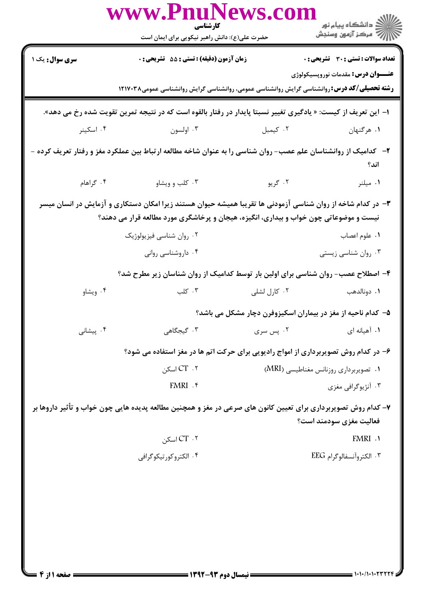|                                                                                                                                                                                                                                                   | www.PnuNews.con<br>كارشناسي<br>حضرت علی(ع): دانش راهبر نیکویی برای ایمان است                                    |              |                                                              |  |  |
|---------------------------------------------------------------------------------------------------------------------------------------------------------------------------------------------------------------------------------------------------|-----------------------------------------------------------------------------------------------------------------|--------------|--------------------------------------------------------------|--|--|
| <b>سری سوال:</b> یک ۱                                                                                                                                                                                                                             | زمان آزمون (دقیقه) : تستی : 55 گتشریحی : 0                                                                      |              | <b>تعداد سوالات : تستی : 30 - تشریحی : 0</b>                 |  |  |
|                                                                                                                                                                                                                                                   | <b>رشته تحصیلی/کد درس:</b> روانشناسی گرایش روانشناسی عمومی، روانشناسی گرایش روانشناسی عمومی۱۲۱۷۰۳۸              |              | <b>عنـــوان درس:</b> مقدمات نوروپسیکولوژی                    |  |  |
| ا– این تعریف از کیست: « یادگیری تغییر نسبتا پایدار در رفتار بالقوه است که در نتیجه تمرین تقویت شده رخ می دهد».                                                                                                                                    |                                                                                                                 |              |                                                              |  |  |
| ۰۴ اسکینر                                                                                                                                                                                                                                         | ۰۳ اولسون                                                                                                       | ۰۲ کیمبل     | ١. هرگنهان                                                   |  |  |
|                                                                                                                                                                                                                                                   | ۲–۔ کدامیک از روانشناسان علم عصب– روان شناسی را به عنوان شاخه مطالعه ارتباط بین عملکرد مغز و رفتار تعریف کرده – |              | اند؟                                                         |  |  |
| ۰۴ گراهام                                                                                                                                                                                                                                         | ۰۳ کلب و ویشاو                                                                                                  |              |                                                              |  |  |
| ۳– در کدام شاخه از روان شناسی آزمودنی ها تقریبا همیشه حیوان هستند زیرا امکان دستکاری و آزمایش در انسان میسر<br>نیست و موضوعاتی چون خواب و بیداری، انگیزه، هیجان و پرخاشگری مورد مطالعه قرار می دهند؟<br>۰۲ روان شناسی فیزیولوژیک<br>٠١ علوم اعصاب |                                                                                                                 |              |                                                              |  |  |
|                                                                                                                                                                                                                                                   | ۰۴ داروشناسی روانی                                                                                              |              | ۰۳ روان شناسی زیستی                                          |  |  |
|                                                                                                                                                                                                                                                   | ۴- اصطلاح عصب- روان شناسی برای اولین بار توسط کدامیک از روان شناسان زیر مطرح شد؟                                |              |                                                              |  |  |
| ۰۴ ویشاو                                                                                                                                                                                                                                          | $\mathcal{F}$ کلب                                                                                               | ۰۲ کارل لشلی | ۰۱ دونالدهب                                                  |  |  |
|                                                                                                                                                                                                                                                   |                                                                                                                 |              | ۵– کدام ناحیه از مغز در بیماران اسکیزوفرن دچار مشکل می باشد؟ |  |  |
| ۰۴ پیشانی                                                                                                                                                                                                                                         | ۴. گیجگاهی                                                                                                      | ۰۲ پس سری    | ۰۱ آهیانه ای                                                 |  |  |
|                                                                                                                                                                                                                                                   | ۶- در کدام روش تصویربرداری از امواج رادیویی برای حرکت اتم ها در مغز استفاده می شود؟                             |              |                                                              |  |  |
|                                                                                                                                                                                                                                                   | $CT \cdot 7$ اسکن                                                                                               |              | ۰۱ تصویربرداری روزنانس مغناطیسی (MRI)                        |  |  |
|                                                                                                                                                                                                                                                   | FMRI . ۴                                                                                                        |              | ۰۳ آنژیوگرافی مغزی                                           |  |  |
|                                                                                                                                                                                                                                                   | ۷- کدام روش تصویربرداری برای تعیین کانون های صرعی در مغز و همچنین مطالعه پدیده هایی چون خواب و تأثیر داروها بر  |              | فعالیت مغزی سودمند است؟                                      |  |  |
|                                                                                                                                                                                                                                                   | $CT \cdot Y$ اسكن                                                                                               |              | FMRI .1                                                      |  |  |
|                                                                                                                                                                                                                                                   | ۰۴ الکتروکورتیکوگرافی                                                                                           |              | ۰۳ الكتروآنسفالوگرام EEG                                     |  |  |
|                                                                                                                                                                                                                                                   |                                                                                                                 |              |                                                              |  |  |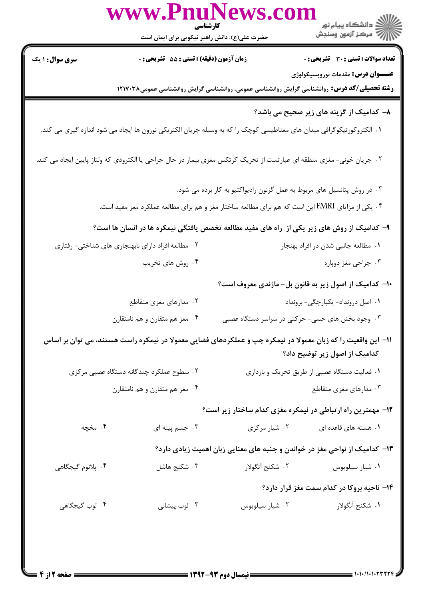|                                                                                                                      | کارشناسی                                      | www.PnuNews.con                                                                                                       |                                                                                                    |
|----------------------------------------------------------------------------------------------------------------------|-----------------------------------------------|-----------------------------------------------------------------------------------------------------------------------|----------------------------------------------------------------------------------------------------|
|                                                                                                                      | حضرت علی(ع): دانش راهبر نیکویی برای ایمان است |                                                                                                                       |                                                                                                    |
| <b>سری سوال : ۱ یک</b>                                                                                               | زمان آزمون (دقیقه) : تستی : 55 ٪ تشریحی : 0   |                                                                                                                       | تعداد سوالات : تستى : 30 ٪ تشريحي : 0                                                              |
|                                                                                                                      |                                               |                                                                                                                       | <b>عنـــوان درس:</b> مقدمات نوروپسیکولوژی                                                          |
|                                                                                                                      |                                               |                                                                                                                       | <b>رشته تحصیلی/کد درس:</b> روانشناسی گرایش روانشناسی عمومی، روانشناسی گرایش روانشناسی عمومی۱۲۱۷۰۳۸ |
|                                                                                                                      |                                               |                                                                                                                       | ۸– کدامیک از گزینه های زیر صحیح می باشد؟                                                           |
|                                                                                                                      |                                               | ۰۱ الکتروکورتیکوگرافی میدان های مغناطیسی کوچک را که به وسیله جریان الکتریکی نورون ها ایجاد می شود اندازه گیری می کند. |                                                                                                    |
| ۰۲ جریان خونی- مغزی منطقه ای عبارتست از تحریک کرتکس مغزی بیمار در حال جراحی یا الکترودی که ولتاژ پایین ایجاد می کند. |                                               |                                                                                                                       |                                                                                                    |
|                                                                                                                      |                                               | ۰۳ در روش پتانسیل های مربوط به عمل گزنون رادیواکتیو به کار برده می شود.                                               |                                                                                                    |
|                                                                                                                      |                                               | ۰۴ یکی از مزایای FMRI این است که هم برای مطالعه ساختار مغز و هم برای مطالعه عملکرد مغز مفید است.                      |                                                                                                    |
|                                                                                                                      |                                               | ۹- کدامیک از روش های زیر یکی از راه های مفید مطالعه تخصص یافتگی نیمکره ها در انسان ها است؟                            |                                                                                                    |
| ۰۲ مطالعه افراد دارای نابهنجاری های شناختی- رفتاری                                                                   |                                               |                                                                                                                       | ۰۱ مطالعه جانبی شدن در افراد بهنجار                                                                |
|                                                                                                                      | ۰۴ روش های تخریب                              |                                                                                                                       | ۰۳ جراحی مغز دوپاره                                                                                |
|                                                                                                                      |                                               |                                                                                                                       | ۱۰– کدامیک از اصول زیر به قانون بل- ماژندی معروف است؟                                              |
|                                                                                                                      | ۰۲ مدارهای مغزی متقاطع                        |                                                                                                                       | ٠١ اصل درونداد- يكپارچگى- برونداد                                                                  |
|                                                                                                                      | ۰۴ مغز هم متقارن و هم نامتقارن                | ۰۳ وجود بخش های حسی- حرکتی در سراسر دستگاه عصبی                                                                       |                                                                                                    |
|                                                                                                                      |                                               | 11– این واقعیت را که زبان معمولا در نیمکره چپ و عملکردهای فضایی معمولا در نیمکره راست هستند، می توان بر اساس          | کدامیک از اصول زیر توضیح داد؟                                                                      |
| ۰۲ سطوح عملکرد چندگانه دستگاه عصبی مرکزی                                                                             |                                               | ۰۱ فعالیت دستگاه عصبی از طریق تحریک و بازداری                                                                         |                                                                                                    |
|                                                                                                                      | ۰۴ مغز هم متقارن و هم نامتقارن                |                                                                                                                       | ۰۳ مدارهای مغزی متقاطع                                                                             |
|                                                                                                                      |                                               |                                                                                                                       | ۱۲- مهمترین راه ارتباطی در نیمکره مغزی کدام ساختار زیر است؟                                        |
| ۰۴ مخچه                                                                                                              | ۰۳ جسم پینه ای                                | ۰۲ شیار مرکزی                                                                                                         | ۰۱ هسته های قاعده ای                                                                               |
|                                                                                                                      |                                               |                                                                                                                       | ۱۳– کدامیک از نواحی مغز در خواندن و جنبه های معنایی زبان اهمیت زیادی دارد؟                         |
| ۰۴ پلانوم گیجگاهی                                                                                                    | ۰۳ شکنج هاشل                                  | ٢. شكنج أنگولار                                                                                                       | ٠١ شيار سيلويوس                                                                                    |
|                                                                                                                      |                                               |                                                                                                                       | <b>۱۴</b> - ناحیه بروکا در کدام سمت مغز قرار دارد؟                                                 |
| ۰۴ لوب گیجگاهی                                                                                                       | ۰۳ لوب پیشانی                                 | ۰۲ شیار سیلویوس                                                                                                       | ١. شكنج أنگولار                                                                                    |
|                                                                                                                      |                                               |                                                                                                                       |                                                                                                    |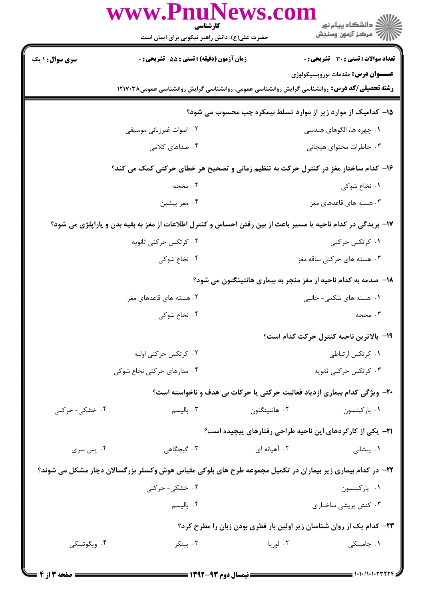|                                                                                    | www.PnuNews.col<br>کارشناسی                                                                                   |               | ِ دانشڪاه پيام نور<br>√ مرڪز آزمون وسنڊش                                  |  |  |
|------------------------------------------------------------------------------------|---------------------------------------------------------------------------------------------------------------|---------------|---------------------------------------------------------------------------|--|--|
|                                                                                    | حضرت علی(ع): دانش راهبر نیکویی برای ایمان است                                                                 |               |                                                                           |  |  |
| <b>سری سوال : ۱ یک</b>                                                             | زمان آزمون (دقیقه) : تستی : 55 تشریحی : 0                                                                     |               | <b>تعداد سوالات : تستی : 30 - تشریحی : 0</b>                              |  |  |
|                                                                                    | <b>رشته تحصیلی/کد درس:</b> روانشناسی گرایش روانشناسی عمومی، روانشناسی گرایش روانشناسی عمومی۱۲۱۷۰۳۸            |               | <b>عنـــوان درس:</b> مقدمات نوروپسیکولوژی                                 |  |  |
|                                                                                    |                                                                                                               |               | ۱۵- کدامیک از موارد زیر از موارد تسلط نیمکره چپ محسوب می شود؟             |  |  |
|                                                                                    | ۰۲ اصوات غیرزبانی موسیقی                                                                                      |               | ۰۱ چهره ها، الگوهای هندسی                                                 |  |  |
|                                                                                    | ۰۴ صداهای کلامی                                                                                               |               | ۰۳ خاطرات محتواي هيجاني                                                   |  |  |
| ۱۶- کدام ساختار مغز در کنترل حرکت به تنظیم زمانی و تصحیح هر خطای حرکتی کمک می کند؟ |                                                                                                               |               |                                                                           |  |  |
|                                                                                    | ۲. مخچه                                                                                                       |               | ۰۱ نخاع شوکی                                                              |  |  |
|                                                                                    | ۰۴ مغز پیشین                                                                                                  |               | ۰۳ هسته های قاعدهای مغز                                                   |  |  |
|                                                                                    | ۱۷– بریدگی در کدام ناحیه یا مسیر باعث از بین رفتن احساس و کنترل اطلاعات از مغز به بقیه بدن و پاراپلژی می شود؟ |               |                                                                           |  |  |
|                                                                                    | ۰۲ کرتکس حرکتی ثانویه                                                                                         |               | ۰۱ کرتکس حرکتی                                                            |  |  |
|                                                                                    | ۰۴ نخاع شوکی                                                                                                  |               | ۰۳ هسته های حرکتی ساقه مغز                                                |  |  |
|                                                                                    |                                                                                                               |               | ۱۸– صدمه به کدام ناحیه از مغز منجر به بیماری هانتینگتون می شود؟           |  |  |
|                                                                                    | ۲. هسته های قاعدهای مغز                                                                                       |               | ۰۱ هسته های شکمی- جانبی                                                   |  |  |
|                                                                                    | ۰۴ نخاع شوكى                                                                                                  |               | ۰۳ مخچه                                                                   |  |  |
|                                                                                    |                                                                                                               |               | 1۹– بالاترين ناحيه كنترل حركت كدام است؟                                   |  |  |
|                                                                                    | ۰۲ کرتکس حرکتی اولیه                                                                                          |               | ٠١ كرتكس ارتباطي                                                          |  |  |
|                                                                                    | ۰۴ مدارهای حرکتی نخاع شوکی                                                                                    |               | ۰۳ کرتکس حرکتی ثانویه                                                     |  |  |
|                                                                                    |                                                                                                               |               | ۲۰- ویژگی کدام بیماری ازدیاد فعالیت حرکتی یا حرکات بی هدف و ناخواسته است؟ |  |  |
| ۰۴ خشکی- حرکتی                                                                     | ۰۳ بالیسم                                                                                                     | ۰۲ هانتینگتون | ۰۱ پارکینسون                                                              |  |  |
|                                                                                    |                                                                                                               |               | <b>۲۱</b> - یکی از کارکردهای این ناحیه طراحی رفتارهای پیچیده است؟         |  |  |
| ۰۴ پس سری                                                                          | ۰۳ گیجگاهی                                                                                                    | ۰۲ آهیانه ای  | ۰۱ پیشانی                                                                 |  |  |
|                                                                                    | ۲۲– در کدام بیماری زیر بیماران در تکمیل مجموعه طرح های بلوکی مقیاس هوش وکسلر بزرگسالان دچار مشکل می شوند؟     |               |                                                                           |  |  |
|                                                                                    | ۲. خشکی- حرکتی                                                                                                |               | ۰۱ پارکینسون                                                              |  |  |
|                                                                                    | ۰۴ باليسم                                                                                                     |               | ۰۳ کنش پریشی ساختاری                                                      |  |  |
|                                                                                    | ۲۳- کدام یک از روان شناسان زیر اولین بار فطری بودن زبان را مطرح کرد؟                                          |               |                                                                           |  |  |
| ۰۴ ویگوتسکی                                                                        | ۰۳ پینکر                                                                                                      | ۰۲ لوريا      | ۰۱ چامسکی                                                                 |  |  |
|                                                                                    |                                                                                                               |               |                                                                           |  |  |